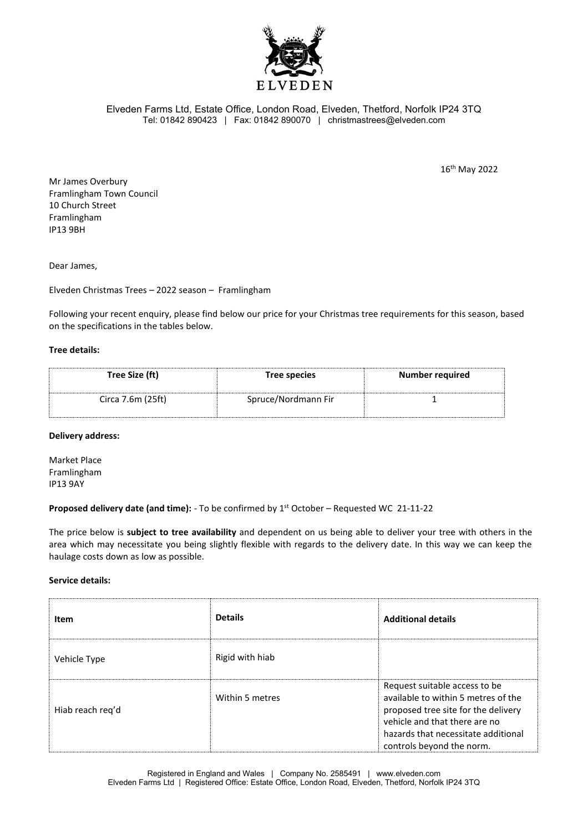

Elveden Farms Ltd, Estate Office, London Road, Elveden, Thetford, Norfolk IP24 3TQ Tel: 01842 890423 | Fax: 01842 890070 | christmastrees@elveden.com

16th May 2022

Mr James Overbury Framlingham Town Council 10 Church Street Framlingham IP13 9BH

Dear James,

Elveden Christmas Trees – 2022 season – Framlingham

Following your recent enquiry, please find below our price for your Christmas tree requirements for this season, based on the specifications in the tables below.

## **Tree details:**

| Tree Size (ft)    | Tree species        | <b>Number required</b> |
|-------------------|---------------------|------------------------|
| Circa 7.6m (25ft) | Spruce/Nordmann Fir |                        |

## **Delivery address:**

Market Place Framlingham IP13 9AY

**Proposed delivery date (and time):** - To be confirmed by 1<sup>st</sup> October – Requested WC 21-11-22

The price below is **subject to tree availability** and dependent on us being able to deliver your tree with others in the area which may necessitate you being slightly flexible with regards to the delivery date. In this way we can keep the haulage costs down as low as possible.

## **Service details:**

| Item             | <b>Details</b>  | <b>Additional details</b>                                                                                                                                                                                        |
|------------------|-----------------|------------------------------------------------------------------------------------------------------------------------------------------------------------------------------------------------------------------|
| Vehicle Type     | Rigid with hiab |                                                                                                                                                                                                                  |
| Hiab reach req'd | Within 5 metres | Request suitable access to be<br>available to within 5 metres of the<br>proposed tree site for the delivery<br>vehicle and that there are no<br>hazards that necessitate additional<br>controls beyond the norm. |